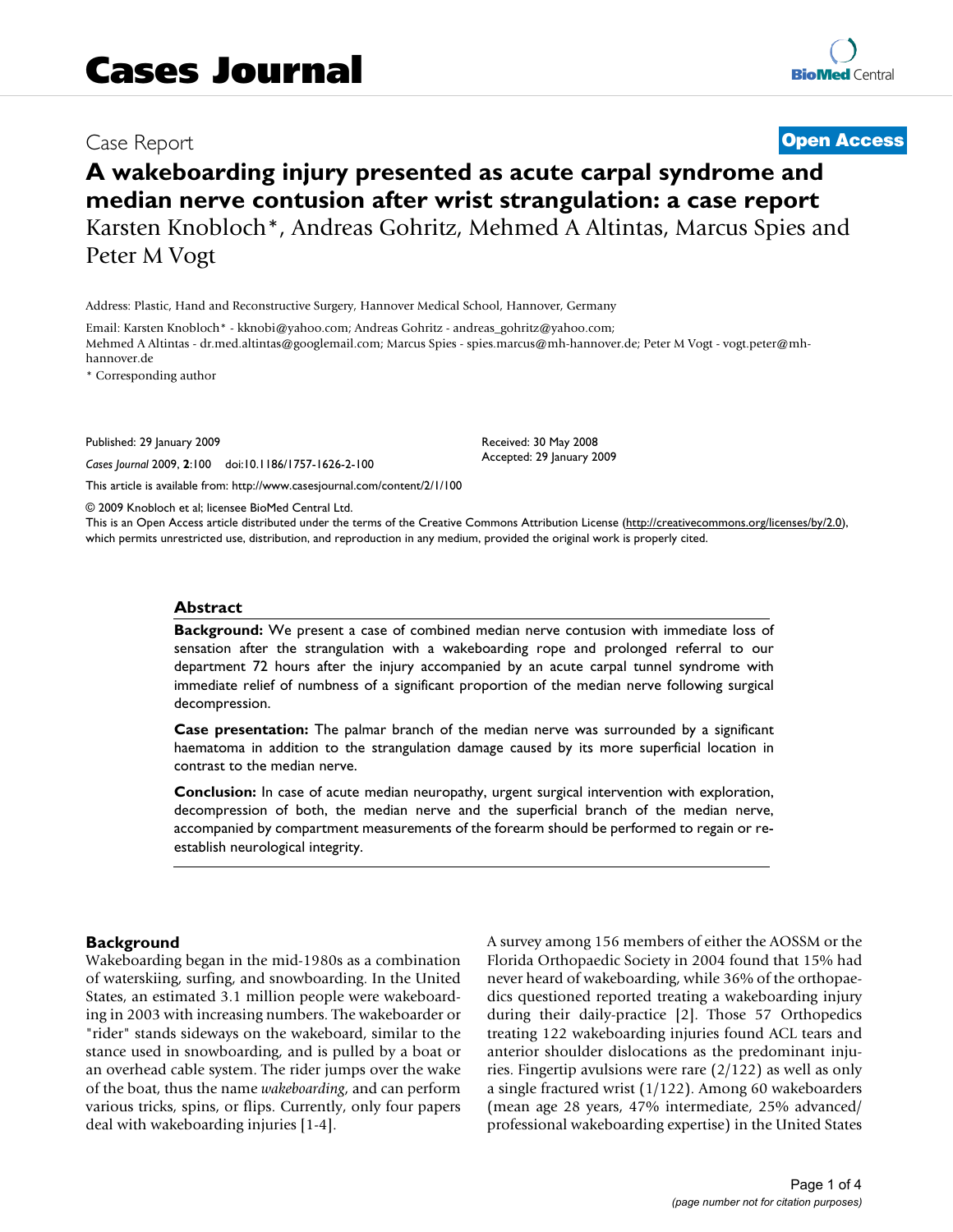## Case Report **[Open Access](http://www.biomedcentral.com/info/about/charter/)**

# **A wakeboarding injury presented as acute carpal syndrome and median nerve contusion after wrist strangulation: a case report** Karsten Knobloch\*, Andreas Gohritz, Mehmed A Altintas, Marcus Spies and Peter M Vogt

Address: Plastic, Hand and Reconstructive Surgery, Hannover Medical School, Hannover, Germany

Email: Karsten Knobloch\* - kknobi@yahoo.com; Andreas Gohritz - andreas\_gohritz@yahoo.com; Mehmed A Altintas - dr.med.altintas@googlemail.com; Marcus Spies - spies.marcus@mh-hannover.de; Peter M Vogt - vogt.peter@mhhannover.de

\* Corresponding author

Published: 29 January 2009

*Cases Journal* 2009, **2**:100 doi:10.1186/1757-1626-2-100

[This article is available from: http://www.casesjournal.com/content/2/1/100](http://www.casesjournal.com/content/2/1/100)

© 2009 Knobloch et al; licensee BioMed Central Ltd.

This is an Open Access article distributed under the terms of the Creative Commons Attribution License [\(http://creativecommons.org/licenses/by/2.0\)](http://creativecommons.org/licenses/by/2.0), which permits unrestricted use, distribution, and reproduction in any medium, provided the original work is properly cited.

Received: 30 May 2008 Accepted: 29 January 2009

#### **Abstract**

**Background:** We present a case of combined median nerve contusion with immediate loss of sensation after the strangulation with a wakeboarding rope and prolonged referral to our department 72 hours after the injury accompanied by an acute carpal tunnel syndrome with immediate relief of numbness of a significant proportion of the median nerve following surgical decompression.

**Case presentation:** The palmar branch of the median nerve was surrounded by a significant haematoma in addition to the strangulation damage caused by its more superficial location in contrast to the median nerve.

**Conclusion:** In case of acute median neuropathy, urgent surgical intervention with exploration, decompression of both, the median nerve and the superficial branch of the median nerve, accompanied by compartment measurements of the forearm should be performed to regain or reestablish neurological integrity.

#### **Background**

Wakeboarding began in the mid-1980s as a combination of waterskiing, surfing, and snowboarding. In the United States, an estimated 3.1 million people were wakeboarding in 2003 with increasing numbers. The wakeboarder or "rider" stands sideways on the wakeboard, similar to the stance used in snowboarding, and is pulled by a boat or an overhead cable system. The rider jumps over the wake of the boat, thus the name *wakeboarding*, and can perform various tricks, spins, or flips. Currently, only four papers deal with wakeboarding injuries [1-4].

A survey among 156 members of either the AOSSM or the Florida Orthopaedic Society in 2004 found that 15% had never heard of wakeboarding, while 36% of the orthopaedics questioned reported treating a wakeboarding injury during their daily-practice [2]. Those 57 Orthopedics treating 122 wakeboarding injuries found ACL tears and anterior shoulder dislocations as the predominant injuries. Fingertip avulsions were rare (2/122) as well as only a single fractured wrist (1/122). Among 60 wakeboarders (mean age 28 years, 47% intermediate, 25% advanced/ professional wakeboarding expertise) in the United States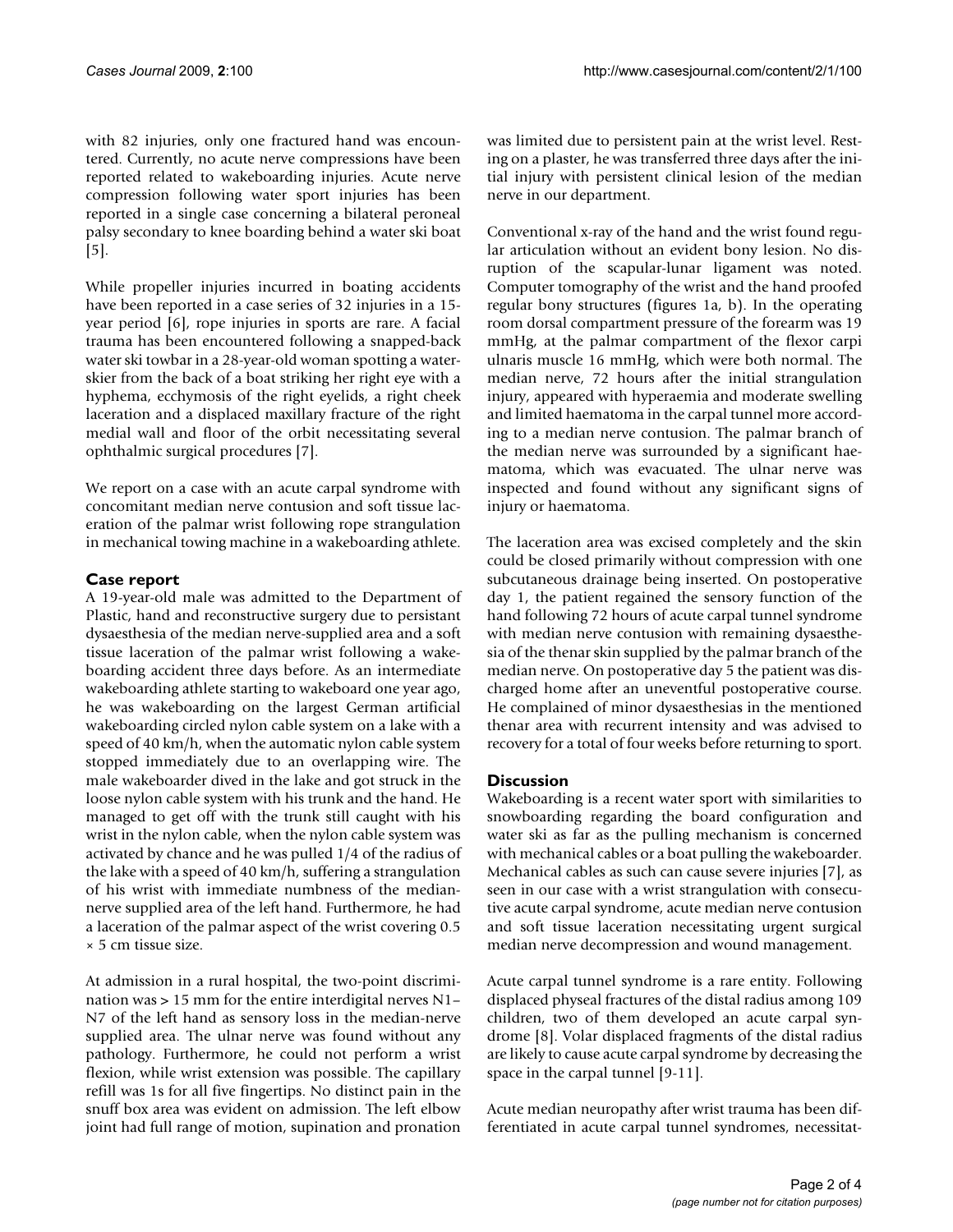with 82 injuries, only one fractured hand was encountered. Currently, no acute nerve compressions have been reported related to wakeboarding injuries. Acute nerve compression following water sport injuries has been reported in a single case concerning a bilateral peroneal palsy secondary to knee boarding behind a water ski boat [5].

While propeller injuries incurred in boating accidents have been reported in a case series of 32 injuries in a 15 year period [6], rope injuries in sports are rare. A facial trauma has been encountered following a snapped-back water ski towbar in a 28-year-old woman spotting a waterskier from the back of a boat striking her right eye with a hyphema, ecchymosis of the right eyelids, a right cheek laceration and a displaced maxillary fracture of the right medial wall and floor of the orbit necessitating several ophthalmic surgical procedures [7].

We report on a case with an acute carpal syndrome with concomitant median nerve contusion and soft tissue laceration of the palmar wrist following rope strangulation in mechanical towing machine in a wakeboarding athlete.

### **Case report**

A 19-year-old male was admitted to the Department of Plastic, hand and reconstructive surgery due to persistant dysaesthesia of the median nerve-supplied area and a soft tissue laceration of the palmar wrist following a wakeboarding accident three days before. As an intermediate wakeboarding athlete starting to wakeboard one year ago, he was wakeboarding on the largest German artificial wakeboarding circled nylon cable system on a lake with a speed of 40 km/h, when the automatic nylon cable system stopped immediately due to an overlapping wire. The male wakeboarder dived in the lake and got struck in the loose nylon cable system with his trunk and the hand. He managed to get off with the trunk still caught with his wrist in the nylon cable, when the nylon cable system was activated by chance and he was pulled 1/4 of the radius of the lake with a speed of 40 km/h, suffering a strangulation of his wrist with immediate numbness of the mediannerve supplied area of the left hand. Furthermore, he had a laceration of the palmar aspect of the wrist covering 0.5 × 5 cm tissue size.

At admission in a rural hospital, the two-point discrimination was > 15 mm for the entire interdigital nerves N1– N7 of the left hand as sensory loss in the median-nerve supplied area. The ulnar nerve was found without any pathology. Furthermore, he could not perform a wrist flexion, while wrist extension was possible. The capillary refill was 1s for all five fingertips. No distinct pain in the snuff box area was evident on admission. The left elbow joint had full range of motion, supination and pronation

was limited due to persistent pain at the wrist level. Resting on a plaster, he was transferred three days after the initial injury with persistent clinical lesion of the median nerve in our department.

Conventional x-ray of the hand and the wrist found regular articulation without an evident bony lesion. No disruption of the scapular-lunar ligament was noted. Computer tomography of the wrist and the hand proofed regular bony structures (figures 1a, b). In the operating room dorsal compartment pressure of the forearm was 19 mmHg, at the palmar compartment of the flexor carpi ulnaris muscle 16 mmHg, which were both normal. The median nerve, 72 hours after the initial strangulation injury, appeared with hyperaemia and moderate swelling and limited haematoma in the carpal tunnel more according to a median nerve contusion. The palmar branch of the median nerve was surrounded by a significant haematoma, which was evacuated. The ulnar nerve was inspected and found without any significant signs of injury or haematoma.

The laceration area was excised completely and the skin could be closed primarily without compression with one subcutaneous drainage being inserted. On postoperative day 1, the patient regained the sensory function of the hand following 72 hours of acute carpal tunnel syndrome with median nerve contusion with remaining dysaesthesia of the thenar skin supplied by the palmar branch of the median nerve. On postoperative day 5 the patient was discharged home after an uneventful postoperative course. He complained of minor dysaesthesias in the mentioned thenar area with recurrent intensity and was advised to recovery for a total of four weeks before returning to sport.

#### **Discussion**

Wakeboarding is a recent water sport with similarities to snowboarding regarding the board configuration and water ski as far as the pulling mechanism is concerned with mechanical cables or a boat pulling the wakeboarder. Mechanical cables as such can cause severe injuries [7], as seen in our case with a wrist strangulation with consecutive acute carpal syndrome, acute median nerve contusion and soft tissue laceration necessitating urgent surgical median nerve decompression and wound management.

Acute carpal tunnel syndrome is a rare entity. Following displaced physeal fractures of the distal radius among 109 children, two of them developed an acute carpal syndrome [8]. Volar displaced fragments of the distal radius are likely to cause acute carpal syndrome by decreasing the space in the carpal tunnel [9-11].

Acute median neuropathy after wrist trauma has been differentiated in acute carpal tunnel syndromes, necessitat-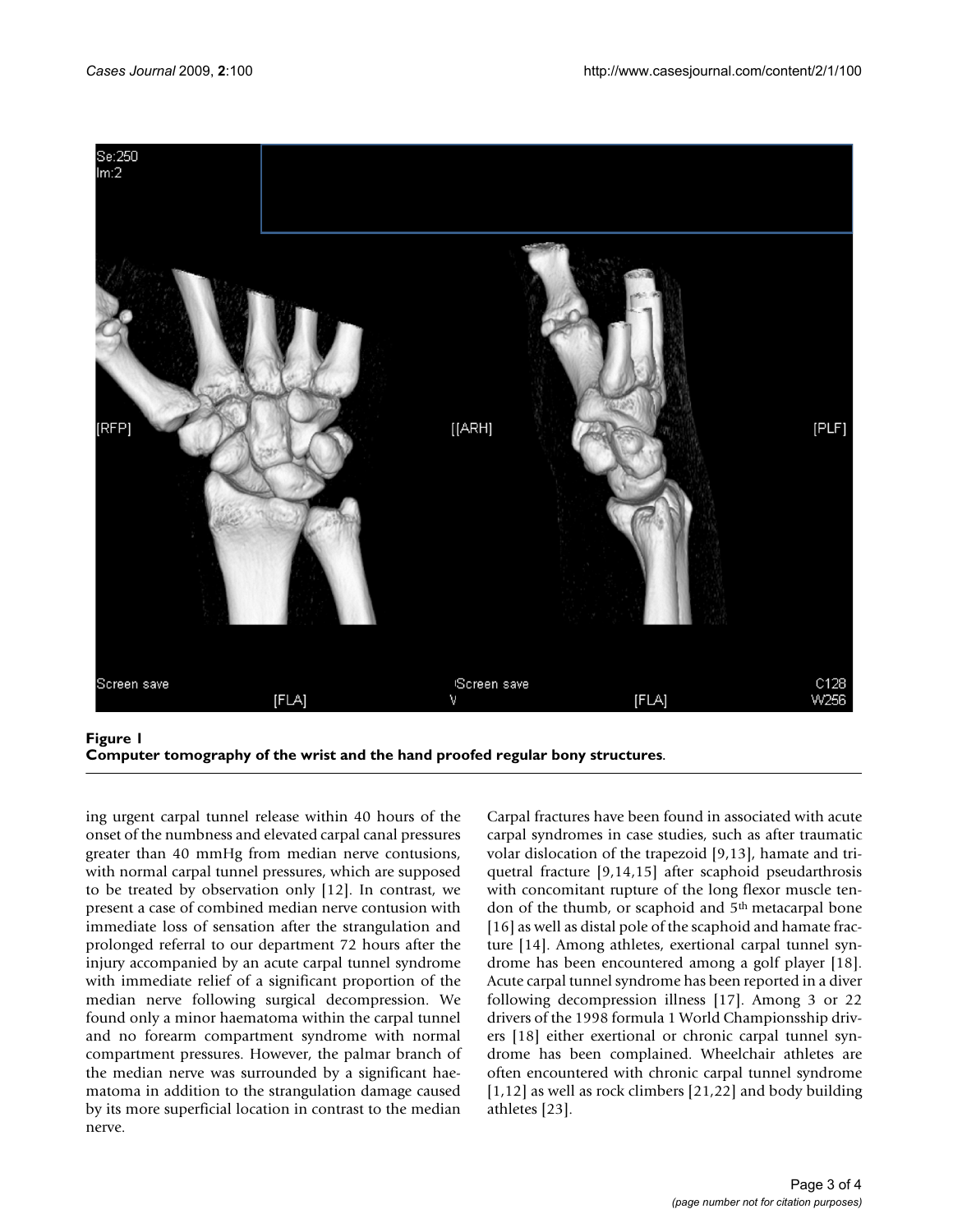

Computer tomography of the wrist and th **Figure 1** e hand proofed regular bony structures **Computer tomography of the wrist and the hand proofed regular bony structures**.

ing urgent carpal tunnel release within 40 hours of the onset of the numbness and elevated carpal canal pressures greater than 40 mmHg from median nerve contusions, with normal carpal tunnel pressures, which are supposed to be treated by observation only [12]. In contrast, we present a case of combined median nerve contusion with immediate loss of sensation after the strangulation and prolonged referral to our department 72 hours after the injury accompanied by an acute carpal tunnel syndrome with immediate relief of a significant proportion of the median nerve following surgical decompression. We found only a minor haematoma within the carpal tunnel and no forearm compartment syndrome with normal compartment pressures. However, the palmar branch of the median nerve was surrounded by a significant haematoma in addition to the strangulation damage caused by its more superficial location in contrast to the median nerve.

Carpal fractures have been found in associated with acute carpal syndromes in case studies, such as after traumatic volar dislocation of the trapezoid [9,13], hamate and triquetral fracture [9,14,15] after scaphoid pseudarthrosis with concomitant rupture of the long flexor muscle tendon of the thumb, or scaphoid and 5<sup>th</sup> metacarpal bone [16] as well as distal pole of the scaphoid and hamate fracture [14]. Among athletes, exertional carpal tunnel syndrome has been encountered among a golf player [18]. Acute carpal tunnel syndrome has been reported in a diver following decompression illness [17]. Among 3 or 22 drivers of the 1998 formula 1 World Championsship drivers [18] either exertional or chronic carpal tunnel syndrome has been complained. Wheelchair athletes are often encountered with chronic carpal tunnel syndrome [1,12] as well as rock climbers [21,22] and body building athletes [23].